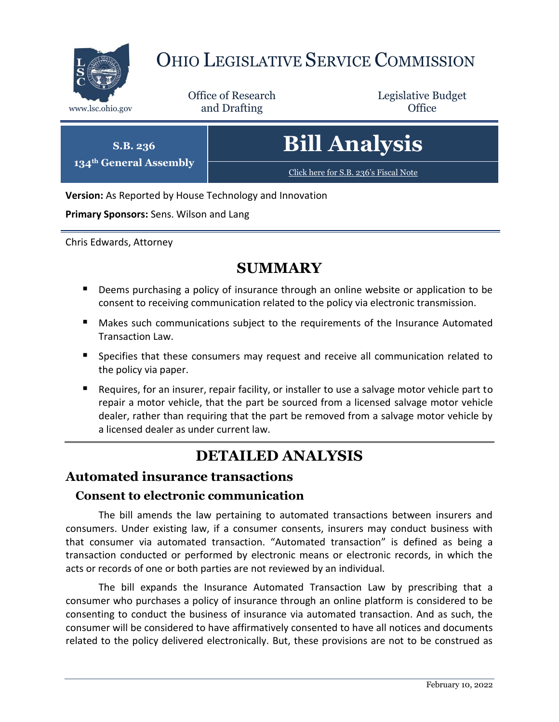

# OHIO LEGISLATIVE SERVICE COMMISSION

Office of Research www.lsc.ohio.gov **and Drafting Office** 

Legislative Budget

| <b>S.B. 236</b><br>134th General Assembly | <b>Bill Analysis</b>                  |
|-------------------------------------------|---------------------------------------|
|                                           | Click here for S.B. 236's Fiscal Note |

**Version:** As Reported by House Technology and Innovation

**Primary Sponsors:** Sens. Wilson and Lang

Chris Edwards, Attorney

## **SUMMARY**

- **Deems purchasing a policy of insurance through an online website or application to be** consent to receiving communication related to the policy via electronic transmission.
- **Makes such communications subject to the requirements of the Insurance Automated** Transaction Law.
- **Specifies that these consumers may request and receive all communication related to** the policy via paper.
- Requires, for an insurer, repair facility, or installer to use a salvage motor vehicle part to repair a motor vehicle, that the part be sourced from a licensed salvage motor vehicle dealer, rather than requiring that the part be removed from a salvage motor vehicle by a licensed dealer as under current law.

# **DETAILED ANALYSIS**

## **Automated insurance transactions**

#### **Consent to electronic communication**

The bill amends the law pertaining to automated transactions between insurers and consumers. Under existing law, if a consumer consents, insurers may conduct business with that consumer via automated transaction. "Automated transaction" is defined as being a transaction conducted or performed by electronic means or electronic records, in which the acts or records of one or both parties are not reviewed by an individual.

The bill expands the Insurance Automated Transaction Law by prescribing that a consumer who purchases a policy of insurance through an online platform is considered to be consenting to conduct the business of insurance via automated transaction. And as such, the consumer will be considered to have affirmatively consented to have all notices and documents related to the policy delivered electronically. But, these provisions are not to be construed as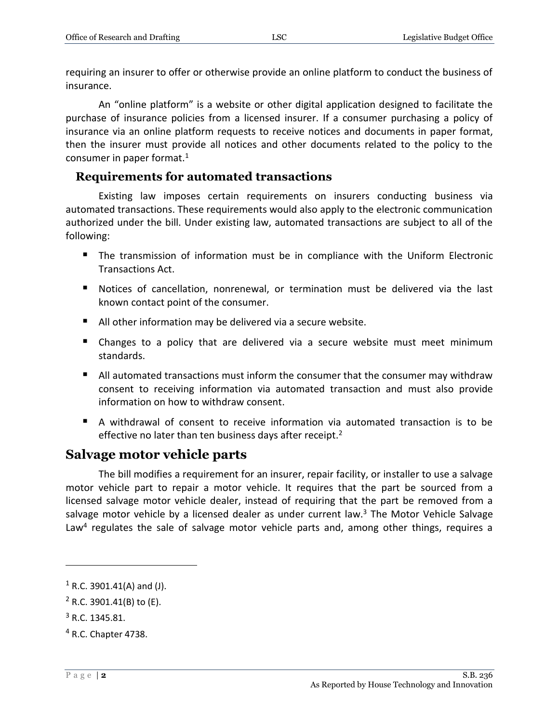requiring an insurer to offer or otherwise provide an online platform to conduct the business of insurance.

An "online platform" is a website or other digital application designed to facilitate the purchase of insurance policies from a licensed insurer. If a consumer purchasing a policy of insurance via an online platform requests to receive notices and documents in paper format, then the insurer must provide all notices and other documents related to the policy to the consumer in paper format. $1$ 

#### **Requirements for automated transactions**

Existing law imposes certain requirements on insurers conducting business via automated transactions. These requirements would also apply to the electronic communication authorized under the bill. Under existing law, automated transactions are subject to all of the following:

- **The transmission of information must be in compliance with the Uniform Electronic** Transactions Act.
- Notices of cancellation, nonrenewal, or termination must be delivered via the last known contact point of the consumer.
- All other information may be delivered via a secure website.
- Changes to a policy that are delivered via a secure website must meet minimum standards.
- All automated transactions must inform the consumer that the consumer may withdraw consent to receiving information via automated transaction and must also provide information on how to withdraw consent.
- A withdrawal of consent to receive information via automated transaction is to be effective no later than ten business days after receipt.<sup>2</sup>

### **Salvage motor vehicle parts**

The bill modifies a requirement for an insurer, repair facility, or installer to use a salvage motor vehicle part to repair a motor vehicle. It requires that the part be sourced from a licensed salvage motor vehicle dealer, instead of requiring that the part be removed from a salvage motor vehicle by a licensed dealer as under current law. $3$  The Motor Vehicle Salvage Law<sup>4</sup> regulates the sale of salvage motor vehicle parts and, among other things, requires a

 $\overline{a}$ 

 $1$  R.C. 3901.41(A) and (J).

 $2$  R.C. 3901.41(B) to (E).

 $3$  R.C. 1345.81.

<sup>4</sup> R.C. Chapter 4738.